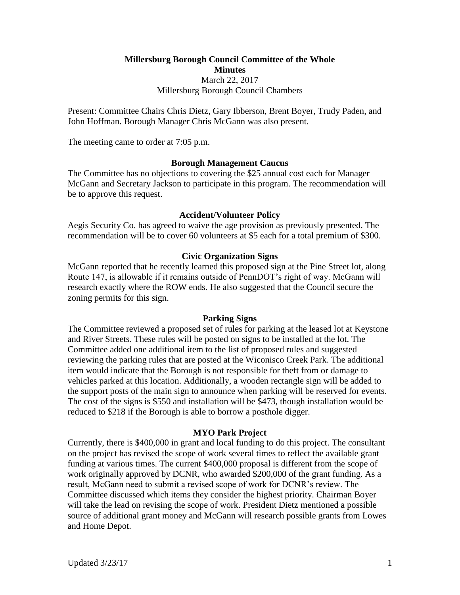# **Millersburg Borough Council Committee of the Whole Minutes** March 22, 2017 Millersburg Borough Council Chambers

Present: Committee Chairs Chris Dietz, Gary Ibberson, Brent Boyer, Trudy Paden, and John Hoffman. Borough Manager Chris McGann was also present.

The meeting came to order at 7:05 p.m.

### **Borough Management Caucus**

The Committee has no objections to covering the \$25 annual cost each for Manager McGann and Secretary Jackson to participate in this program. The recommendation will be to approve this request.

#### **Accident/Volunteer Policy**

Aegis Security Co. has agreed to waive the age provision as previously presented. The recommendation will be to cover 60 volunteers at \$5 each for a total premium of \$300.

### **Civic Organization Signs**

McGann reported that he recently learned this proposed sign at the Pine Street lot, along Route 147, is allowable if it remains outside of PennDOT's right of way. McGann will research exactly where the ROW ends. He also suggested that the Council secure the zoning permits for this sign.

#### **Parking Signs**

The Committee reviewed a proposed set of rules for parking at the leased lot at Keystone and River Streets. These rules will be posted on signs to be installed at the lot. The Committee added one additional item to the list of proposed rules and suggested reviewing the parking rules that are posted at the Wiconisco Creek Park. The additional item would indicate that the Borough is not responsible for theft from or damage to vehicles parked at this location. Additionally, a wooden rectangle sign will be added to the support posts of the main sign to announce when parking will be reserved for events. The cost of the signs is \$550 and installation will be \$473, though installation would be reduced to \$218 if the Borough is able to borrow a posthole digger.

#### **MYO Park Project**

Currently, there is \$400,000 in grant and local funding to do this project. The consultant on the project has revised the scope of work several times to reflect the available grant funding at various times. The current \$400,000 proposal is different from the scope of work originally approved by DCNR, who awarded \$200,000 of the grant funding. As a result, McGann need to submit a revised scope of work for DCNR's review. The Committee discussed which items they consider the highest priority. Chairman Boyer will take the lead on revising the scope of work. President Dietz mentioned a possible source of additional grant money and McGann will research possible grants from Lowes and Home Depot.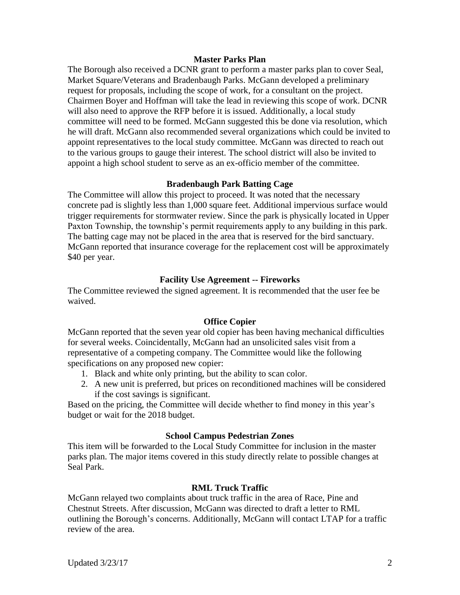### **Master Parks Plan**

The Borough also received a DCNR grant to perform a master parks plan to cover Seal, Market Square/Veterans and Bradenbaugh Parks. McGann developed a preliminary request for proposals, including the scope of work, for a consultant on the project. Chairmen Boyer and Hoffman will take the lead in reviewing this scope of work. DCNR will also need to approve the RFP before it is issued. Additionally, a local study committee will need to be formed. McGann suggested this be done via resolution, which he will draft. McGann also recommended several organizations which could be invited to appoint representatives to the local study committee. McGann was directed to reach out to the various groups to gauge their interest. The school district will also be invited to appoint a high school student to serve as an ex-officio member of the committee.

# **Bradenbaugh Park Batting Cage**

The Committee will allow this project to proceed. It was noted that the necessary concrete pad is slightly less than 1,000 square feet. Additional impervious surface would trigger requirements for stormwater review. Since the park is physically located in Upper Paxton Township, the township's permit requirements apply to any building in this park. The batting cage may not be placed in the area that is reserved for the bird sanctuary. McGann reported that insurance coverage for the replacement cost will be approximately \$40 per year.

# **Facility Use Agreement -- Fireworks**

The Committee reviewed the signed agreement. It is recommended that the user fee be waived.

# **Office Copier**

McGann reported that the seven year old copier has been having mechanical difficulties for several weeks. Coincidentally, McGann had an unsolicited sales visit from a representative of a competing company. The Committee would like the following specifications on any proposed new copier:

- 1. Black and white only printing, but the ability to scan color.
- 2. A new unit is preferred, but prices on reconditioned machines will be considered if the cost savings is significant.

Based on the pricing, the Committee will decide whether to find money in this year's budget or wait for the 2018 budget.

# **School Campus Pedestrian Zones**

This item will be forwarded to the Local Study Committee for inclusion in the master parks plan. The major items covered in this study directly relate to possible changes at Seal Park.

# **RML Truck Traffic**

McGann relayed two complaints about truck traffic in the area of Race, Pine and Chestnut Streets. After discussion, McGann was directed to draft a letter to RML outlining the Borough's concerns. Additionally, McGann will contact LTAP for a traffic review of the area.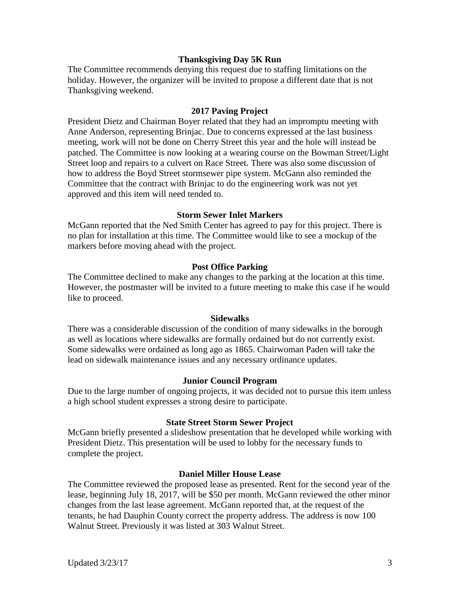# **Thanksgiving Day 5K Run**

The Committee recommends denying this request due to staffing limitations on the holiday. However, the organizer will be invited to propose a different date that is not Thanksgiving weekend.

### **2017 Paving Project**

President Dietz and Chairman Boyer related that they had an impromptu meeting with Anne Anderson, representing Brinjac. Due to concerns expressed at the last business meeting, work will not be done on Cherry Street this year and the hole will instead be patched. The Committee is now looking at a wearing course on the Bowman Street/Light Street loop and repairs to a culvert on Race Street. There was also some discussion of how to address the Boyd Street stormsewer pipe system. McGann also reminded the Committee that the contract with Brinjac to do the engineering work was not yet approved and this item will need tended to.

### **Storm Sewer Inlet Markers**

McGann reported that the Ned Smith Center has agreed to pay for this project. There is no plan for installation at this time. The Committee would like to see a mockup of the markers before moving ahead with the project.

#### **Post Office Parking**

The Committee declined to make any changes to the parking at the location at this time. However, the postmaster will be invited to a future meeting to make this case if he would like to proceed.

#### **Sidewalks**

There was a considerable discussion of the condition of many sidewalks in the borough as well as locations where sidewalks are formally ordained but do not currently exist. Some sidewalks were ordained as long ago as 1865. Chairwoman Paden will take the lead on sidewalk maintenance issues and any necessary ordinance updates.

#### **Junior Council Program**

Due to the large number of ongoing projects, it was decided not to pursue this item unless a high school student expresses a strong desire to participate.

#### **State Street Storm Sewer Project**

McGann briefly presented a slideshow presentation that he developed while working with President Dietz. This presentation will be used to lobby for the necessary funds to complete the project.

#### **Daniel Miller House Lease**

The Committee reviewed the proposed lease as presented. Rent for the second year of the lease, beginning July 18, 2017, will be \$50 per month. McGann reviewed the other minor changes from the last lease agreement. McGann reported that, at the request of the tenants, he had Dauphin County correct the property address. The address is now 100 Walnut Street. Previously it was listed at 303 Walnut Street.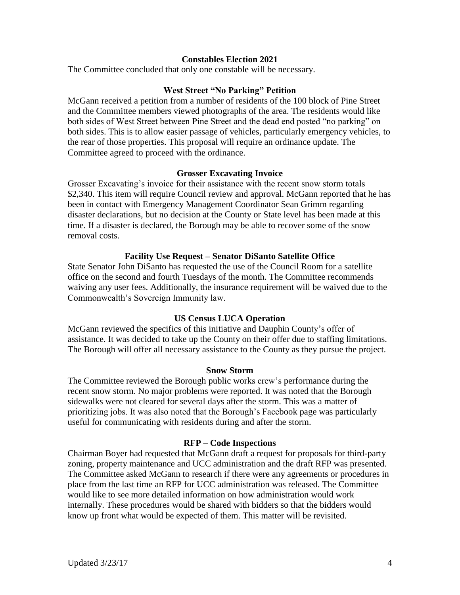# **Constables Election 2021**

The Committee concluded that only one constable will be necessary.

### **West Street "No Parking" Petition**

McGann received a petition from a number of residents of the 100 block of Pine Street and the Committee members viewed photographs of the area. The residents would like both sides of West Street between Pine Street and the dead end posted "no parking" on both sides. This is to allow easier passage of vehicles, particularly emergency vehicles, to the rear of those properties. This proposal will require an ordinance update. The Committee agreed to proceed with the ordinance.

#### **Grosser Excavating Invoice**

Grosser Excavating's invoice for their assistance with the recent snow storm totals \$2,340. This item will require Council review and approval. McGann reported that he has been in contact with Emergency Management Coordinator Sean Grimm regarding disaster declarations, but no decision at the County or State level has been made at this time. If a disaster is declared, the Borough may be able to recover some of the snow removal costs.

#### **Facility Use Request – Senator DiSanto Satellite Office**

State Senator John DiSanto has requested the use of the Council Room for a satellite office on the second and fourth Tuesdays of the month. The Committee recommends waiving any user fees. Additionally, the insurance requirement will be waived due to the Commonwealth's Sovereign Immunity law.

# **US Census LUCA Operation**

McGann reviewed the specifics of this initiative and Dauphin County's offer of assistance. It was decided to take up the County on their offer due to staffing limitations. The Borough will offer all necessary assistance to the County as they pursue the project.

#### **Snow Storm**

The Committee reviewed the Borough public works crew's performance during the recent snow storm. No major problems were reported. It was noted that the Borough sidewalks were not cleared for several days after the storm. This was a matter of prioritizing jobs. It was also noted that the Borough's Facebook page was particularly useful for communicating with residents during and after the storm.

#### **RFP – Code Inspections**

Chairman Boyer had requested that McGann draft a request for proposals for third-party zoning, property maintenance and UCC administration and the draft RFP was presented. The Committee asked McGann to research if there were any agreements or procedures in place from the last time an RFP for UCC administration was released. The Committee would like to see more detailed information on how administration would work internally. These procedures would be shared with bidders so that the bidders would know up front what would be expected of them. This matter will be revisited.